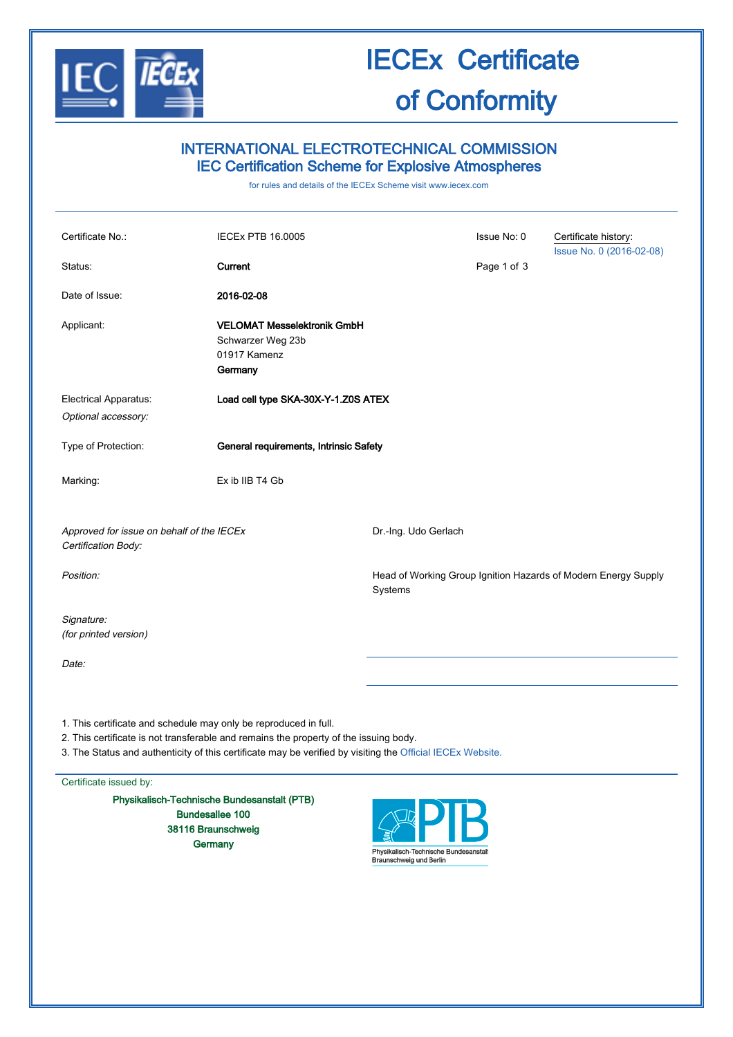

# IECEx Certificate of Conformity

## INTERNATIONAL ELECTROTECHNICAL COMMISSION IEC Certification Scheme for Explosive Atmospheres

for rules and details of the IECEx Scheme visit [www.iecex.com](http://www.iecex.com/)

| Certificate No.:<br>Status:                                                                                                                                                                                                                                             | <b>IECEX PTB 16.0005</b><br>Current                                                |                      | Issue No: 0<br>Page 1 of 3 | Certificate history:<br>Issue No. 0 (2016-02-08)               |
|-------------------------------------------------------------------------------------------------------------------------------------------------------------------------------------------------------------------------------------------------------------------------|------------------------------------------------------------------------------------|----------------------|----------------------------|----------------------------------------------------------------|
| Date of Issue:                                                                                                                                                                                                                                                          | 2016-02-08                                                                         |                      |                            |                                                                |
| Applicant:                                                                                                                                                                                                                                                              | <b>VELOMAT Messelektronik GmbH</b><br>Schwarzer Weg 23b<br>01917 Kamenz<br>Germany |                      |                            |                                                                |
| Electrical Apparatus:<br>Optional accessory:                                                                                                                                                                                                                            | Load cell type SKA-30X-Y-1.Z0S ATEX                                                |                      |                            |                                                                |
| Type of Protection:                                                                                                                                                                                                                                                     | General requirements, Intrinsic Safety                                             |                      |                            |                                                                |
| Marking:                                                                                                                                                                                                                                                                | Ex ib IIB T4 Gb                                                                    |                      |                            |                                                                |
| Approved for issue on behalf of the IECEx<br>Certification Body:                                                                                                                                                                                                        |                                                                                    | Dr.-Ing. Udo Gerlach |                            |                                                                |
| Position:                                                                                                                                                                                                                                                               |                                                                                    | Systems              |                            | Head of Working Group Ignition Hazards of Modern Energy Supply |
| Signature:<br>(for printed version)                                                                                                                                                                                                                                     |                                                                                    |                      |                            |                                                                |
| Date:                                                                                                                                                                                                                                                                   |                                                                                    |                      |                            |                                                                |
|                                                                                                                                                                                                                                                                         |                                                                                    |                      |                            |                                                                |
| 1. This certificate and schedule may only be reproduced in full.<br>2. This certificate is not transferable and remains the property of the issuing body.<br>3. The Status and authenticity of this certificate may be verified by visiting the Official IECEx Website. |                                                                                    |                      |                            |                                                                |

Certificate issued by:

Physikalisch-Technische Bundesanstalt (PTB) Bundesallee 100 38116 Braunschweig **Germany** 

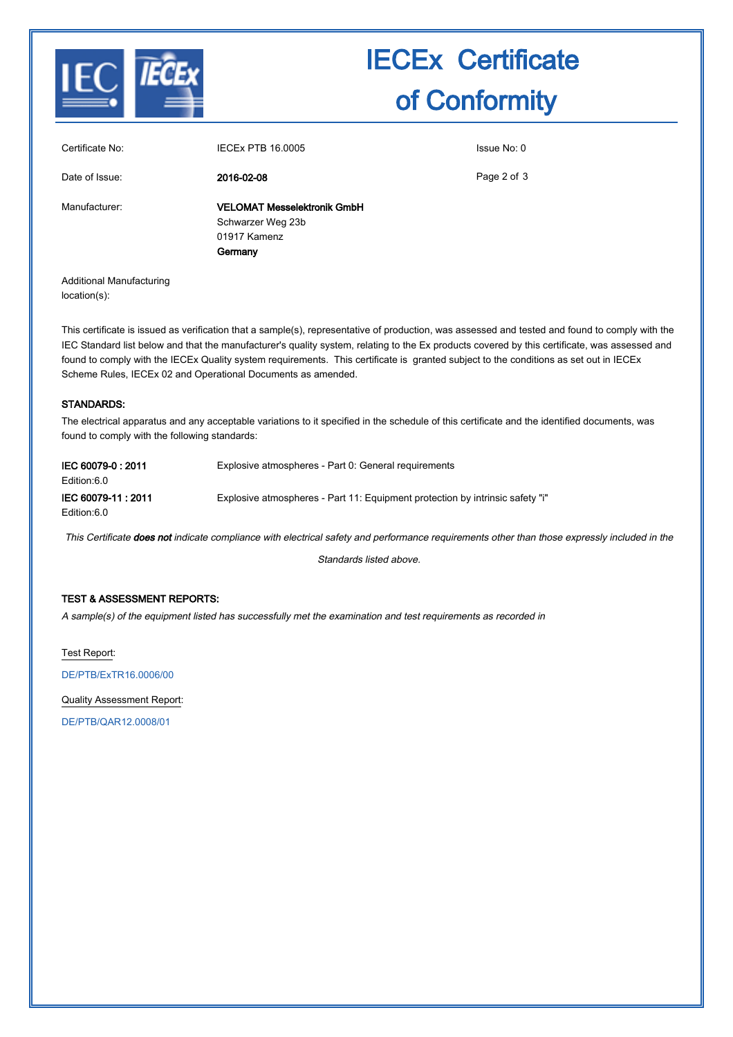

# IECEx Certificate of Conformity

| Certificate No: | <b>IECEX PTB 16,0005</b>           | Issue No: 0 |
|-----------------|------------------------------------|-------------|
| Date of Issue:  | 2016-02-08                         | Page 2 of 3 |
| Manufacturer:   | <b>VELOMAT Messelektronik GmbH</b> |             |
|                 | Schwarzer Weg 23b                  |             |
|                 | 01917 Kamenz                       |             |
|                 | Germany                            |             |
|                 |                                    |             |
|                 |                                    |             |

Additional Manufacturing location(s):

This certificate is issued as verification that a sample(s), representative of production, was assessed and tested and found to comply with the IEC Standard list below and that the manufacturer's quality system, relating to the Ex products covered by this certificate, was assessed and found to comply with the IECEx Quality system requirements. This certificate is granted subject to the conditions as set out in IECEx Scheme Rules, IECEx 02 and Operational Documents as amended.

### STANDARDS:

The electrical apparatus and any acceptable variations to it specified in the schedule of this certificate and the identified documents, was found to comply with the following standards:

| IEC 60079-0 : 2011<br>Edition:6.0  | Explosive atmospheres - Part 0: General requirements                          |
|------------------------------------|-------------------------------------------------------------------------------|
| IEC 60079-11 : 2011<br>Edition:6.0 | Explosive atmospheres - Part 11: Equipment protection by intrinsic safety "i" |

This Certificate does not indicate compliance with electrical safety and performance requirements other than those expressly included in the

Standards listed above.

### TEST & ASSESSMENT REPORTS:

A sample(s) of the equipment listed has successfully met the examination and test requirements as recorded in

Test Report:

[DE/PTB/ExTR16.0006/00](http://iecex.iec.ch/iecex/IECExWeb.nsf/ExTRNumber/DE/PTB/ExTR16.0006/00?OpenDocument)

Quality Assessment Report:

[DE/PTB/QAR12.0008/01](http://iecex.iec.ch/iecex/IECExWeb.nsf/QARNumber/DE/PTB/QAR12.0008/01?OpenDocument)